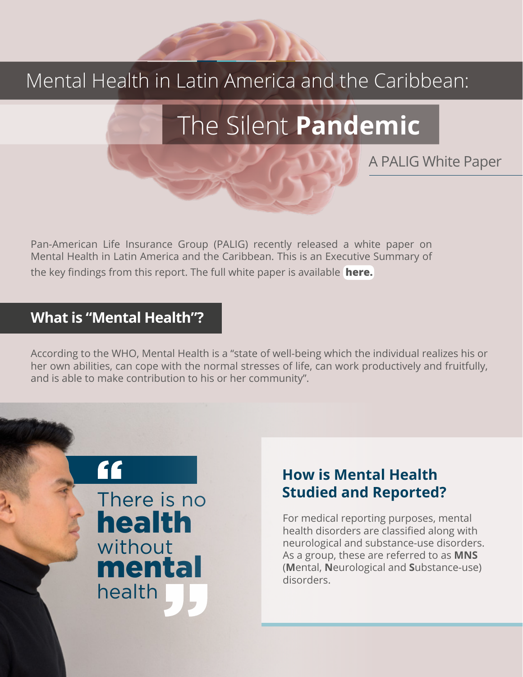## Mental Health in Latin America and the Caribbean:

# The Silent **Pandemic**

A PALIG White Paper

Pan-American Life Insurance Group (PALIG) recently released a white paper on Mental Health in Latin America and the Caribbean. This is an Executive Summary of the key findings from this report. The full white paper is available **[here.](https://www.palig.com/Media/Default/Documents/Mental%20Health%20White%20Paper%20PALIG.pdf)**

#### **What is "Mental Health"?**

According to the WHO, Mental Health is a "state of well-being which the individual realizes his or her own abilities, can cope with the normal stresses of life, can work productively and fruitfully, and is able to make contribution to his or her community".

> " There is no health without mental health

#### **How is Mental Health Studied and Reported?**

For medical reporting purposes, mental health disorders are classified along with neurological and substance-use disorders. As a group, these are referred to as **MNS** (**M**ental, **N**eurological and **S**ubstance-use) disorders.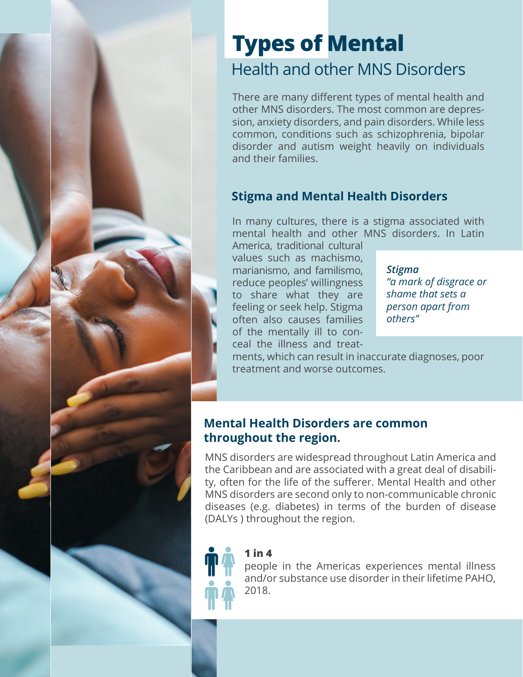## Health and other MNS Disorders **Types of Mental**

There are many different types of mental health and other MNS disorders. The most common are depression, anxiety disorders, and pain disorders. While less common, conditions such as schizophrenia, bipolar disorder and autism weight heavily on individuals and their families.

#### **Stigma and Mental Health Disorders**

In many cultures, there is a stigma associated with mental health and other MNS disorders. In Latin

America, traditional cultural values such as machismo, marianismo, and familismo, reduce peoples' willingness to share what they are feeling or seek help. Stigma often also causes families of the mentally ill to conceal the illness and treat-

*Stigma "a mark of disgrace or shame that sets a person apart from others"*

ments, which can result in inaccurate diagnoses, poor treatment and worse outcomes.

#### **Mental Health Disorders are common throughout the region.**

MNS disorders are widespread throughout Latin America and the Caribbean and are associated with a great deal of disability, often for the life of the sufferer. Mental Health and other MNS disorders are second only to non-communicable chronic diseases (e.g. diabetes) in terms of the burden of disease (DALYs ) throughout the region.

#### **1 in 4**

people in the Americas experiences mental illness and/or substance use disorder in their lifetime PAHO, 2018.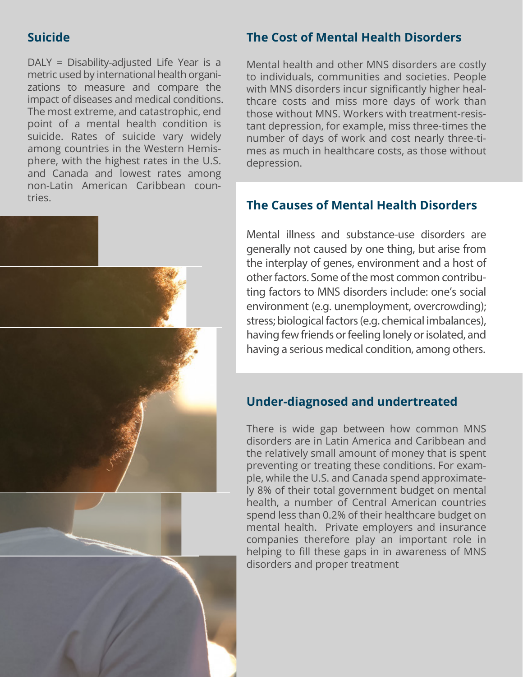#### **Suicide**

DALY = Disability-adjusted Life Year is a metric used by international health organizations to measure and compare the impact of diseases and medical conditions. The most extreme, and catastrophic, end point of a mental health condition is suicide. Rates of suicide vary widely among countries in the Western Hemisphere, with the highest rates in the U.S. and Canada and lowest rates among non-Latin American Caribbean countries.



#### **The Cost of Mental Health Disorders**

Mental health and other MNS disorders are costly to individuals, communities and societies. People with MNS disorders incur significantly higher healthcare costs and miss more days of work than those without MNS. Workers with treatment-resistant depression, for example, miss three-times the number of days of work and cost nearly three-times as much in healthcare costs, as those without depression.

#### **The Causes of Mental Health Disorders**

Mental illness and substance-use disorders are generally not caused by one thing, but arise from the interplay of genes, environment and a host of other factors. Some of the most common contributing factors to MNS disorders include: one's social environment (e.g. unemployment, overcrowding); stress; biological factors (e.g. chemical imbalances), having few friends or feeling lonely or isolated, and having a serious medical condition, among others.

#### **Under-diagnosed and undertreated**

There is wide gap between how common MNS disorders are in Latin America and Caribbean and the relatively small amount of money that is spent preventing or treating these conditions. For example, while the U.S. and Canada spend approximately 8% of their total government budget on mental health, a number of Central American countries spend less than 0.2% of their healthcare budget on mental health. Private employers and insurance companies therefore play an important role in helping to fill these gaps in in awareness of MNS disorders and proper treatment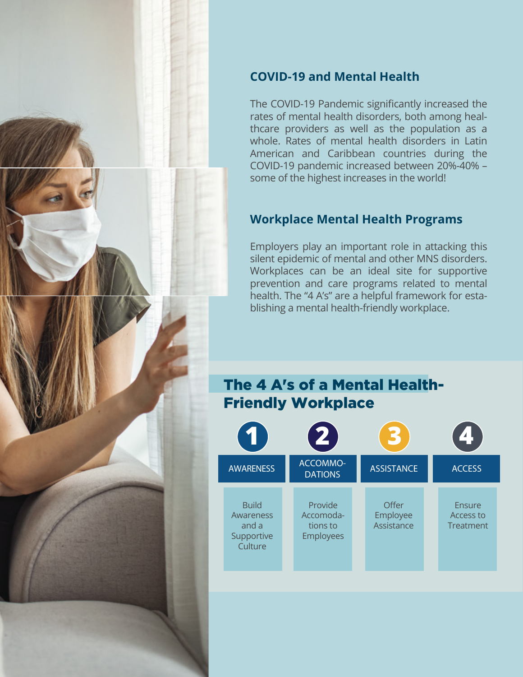

#### **COVID-19 and Mental Health**

The COVID-19 Pandemic significantly increased the rates of mental health disorders, both among healthcare providers as well as the population as a whole. Rates of mental health disorders in Latin American and Caribbean countries during the COVID-19 pandemic increased between 20%-40% – some of the highest increases in the world!

#### **Workplace Mental Health Programs**

Employers play an important role in attacking this silent epidemic of mental and other MNS disorders. Workplaces can be an ideal site for supportive prevention and care programs related to mental health. The "4 A's" are a helpful framework for establishing a mental health-friendly workplace.

#### The 4 A's of a Mental Health-Friendly Workplace

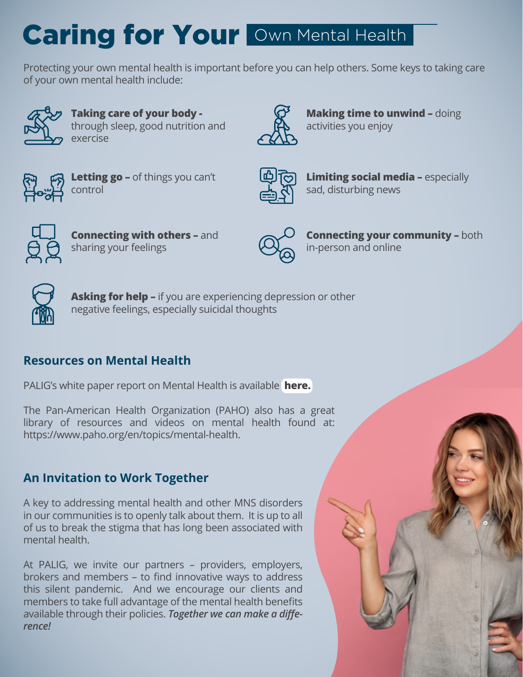# Caring for Your Own Mental Health

Protecting your own mental health is important before you can help others. Some keys to taking care of your own mental health include:



**Taking care of your body**  through sleep, good nutrition and exercise



**Making time to unwind - doing** activities you enjoy



**Letting go –** of things you can't control



**Limiting social media –** especially sad, disturbing news



**Connecting with others - and** sharing your feelings



**Connecting your community - both** in-person and online



**Asking for help –** if you are experiencing depression or other negative feelings, especially suicidal thoughts

#### **Resources on Mental Health**

PALIG's white paper report on Mental Health is available **[here.](https://www.palig.com/Media/Default/Documents/Mental%20Health%20White%20Paper%20PALIG.pdf)**

The Pan-American Health Organization (PAHO) also has a great library of resources and videos on mental health found at: https://www.paho.org/en/topics/mental-health.

#### **An Invitation to Work Together**

A key to addressing mental health and other MNS disorders in our communities is to openly talk about them. It is up to all of us to break the stigma that has long been associated with mental health.

At PALIG, we invite our partners – providers, employers, brokers and members – to find innovative ways to address this silent pandemic. And we encourage our clients and members to take full advantage of the mental health benefits available through their policies. *Together we can make a difference!*